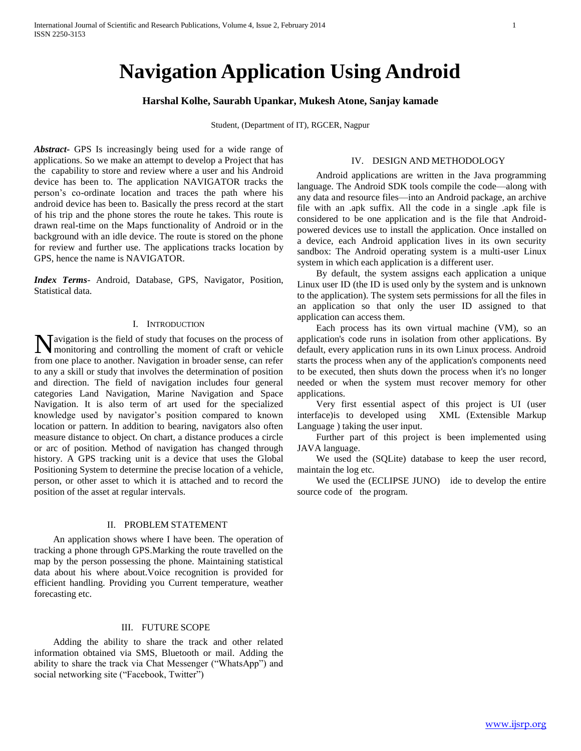# **Navigation Application Using Android**

# **Harshal Kolhe, Saurabh Upankar, Mukesh Atone, Sanjay kamade**

Student, (Department of IT), RGCER, Nagpur

*Abstract***-** GPS Is increasingly being used for a wide range of applications. So we make an attempt to develop a Project that has the capability to store and review where a user and his Android device has been to. The application NAVIGATOR tracks the person's co-ordinate location and traces the path where his android device has been to. Basically the press record at the start of his trip and the phone stores the route he takes. This route is drawn real-time on the Maps functionality of Android or in the background with an idle device. The route is stored on the phone for review and further use. The applications tracks location by GPS, hence the name is NAVIGATOR.

*Index Terms*- Android, Database, GPS, Navigator, Position, Statistical data.

## I. INTRODUCTION

Navigation is the field of study that focuses on the process of monitoring and controlling the moment of craft or vehicle monitoring and controlling the moment of craft or vehicle from one place to another. Navigation in broader sense, can refer to any a skill or study that involves the determination of position and direction. The field of navigation includes four general categories Land Navigation, Marine Navigation and Space Navigation. It is also term of art used for the specialized knowledge used by navigator's position compared to known location or pattern. In addition to bearing, navigators also often measure distance to object. On chart, a distance produces a circle or arc of position. Method of navigation has changed through history. A GPS tracking unit is a device that uses the Global Positioning System to determine the precise location of a vehicle, person, or other asset to which it is attached and to record the position of the asset at regular intervals.

## II. PROBLEM STATEMENT

 An application shows where I have been. The operation of tracking a phone through GPS.Marking the route travelled on the map by the person possessing the phone. Maintaining statistical data about his where about.Voice recognition is provided for efficient handling. Providing you Current temperature, weather forecasting etc.

#### III. FUTURE SCOPE

 Adding the ability to share the track and other related information obtained via SMS, Bluetooth or mail. Adding the ability to share the track via Chat Messenger ("WhatsApp") and social networking site ("Facebook, Twitter")

## IV. DESIGN AND METHODOLOGY

 Android applications are written in the Java programming language. The Android SDK tools compile the code—along with any data and resource files—into an Android package, an archive file with an .apk suffix. All the code in a single .apk file is considered to be one application and is the file that Androidpowered devices use to install the application. Once installed on a device, each Android application lives in its own security sandbox: The Android operating system is a multi-user Linux system in which each application is a different user.

 By default, the system assigns each application a unique Linux user ID (the ID is used only by the system and is unknown to the application). The system sets permissions for all the files in an application so that only the user ID assigned to that application can access them.

 Each process has its own virtual machine (VM), so an application's code runs in isolation from other applications. By default, every application runs in its own Linux process. Android starts the process when any of the application's components need to be executed, then shuts down the process when it's no longer needed or when the system must recover memory for other applications.

 Very first essential aspect of this project is UI (user interface)is to developed using XML (Extensible Markup Language ) taking the user input.

 Further part of this project is been implemented using JAVA language.

 We used the (SQLite) database to keep the user record, maintain the log etc.

 We used the (ECLIPSE JUNO) ide to develop the entire source code of the program.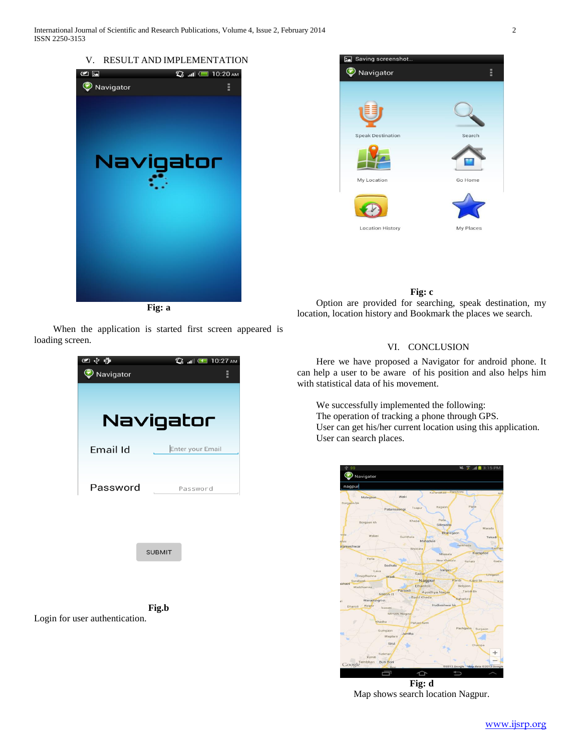





# **Fig: c**

 Option are provided for searching, speak destination, my location, location history and Bookmark the places we search.

# VI. CONCLUSION

 Here we have proposed a Navigator for android phone. It can help a user to be aware of his position and also helps him with statistical data of his movement.

 We successfully implemented the following: The operation of tracking a phone through GPS. User can get his/her current location using this application. User can search places.



Map shows search location Nagpur.

 When the application is started first screen appeared is loading screen.



Login for user authentication.